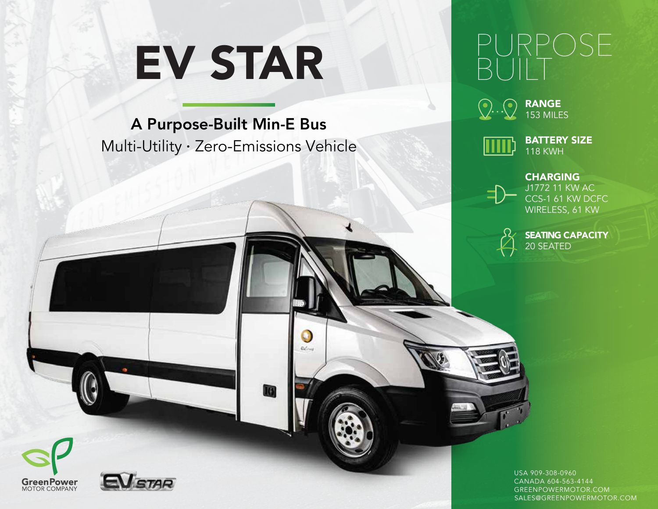# EV STAR

### A Purpose-Built Min-E Bus Multi-Utility · Zero-Emissions Vehicle

O Beling

Q

## $S\vdash$ BUILT



RANGE 153 MILES



BATTERY SIZE 118 KWH



CHARGING J1772 11 KW AC CCS-1 61 KW DCFC WIRELESS, 61 KW



SEATING CAPACITY 20 SEATED